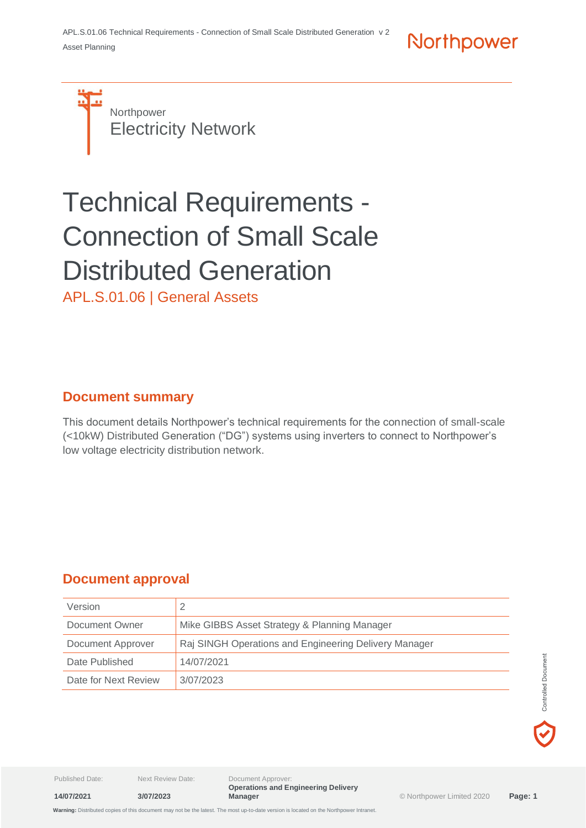Northpower

**Northpower** Electricity Network

# Technical Requirements - Connection of Small Scale Distributed Generation

APL.S.01.06 | General Assets

## **Document summary**

This document details Northpower's technical requirements for the connection of small-scale (<10kW) Distributed Generation ("DG") systems using inverters to connect to Northpower's low voltage electricity distribution network.

# **Document approval**

| Version              |                                                       |
|----------------------|-------------------------------------------------------|
| Document Owner       | Mike GIBBS Asset Strategy & Planning Manager          |
| Document Approver    | Raj SINGH Operations and Engineering Delivery Manager |
| Date Published       | 14/07/2021                                            |
| Date for Next Review | 3/07/2023                                             |



**14/07/2021 3/07/2023**

Published Date: Next Review Date: Document Approver: **Operations and Engineering Delivery**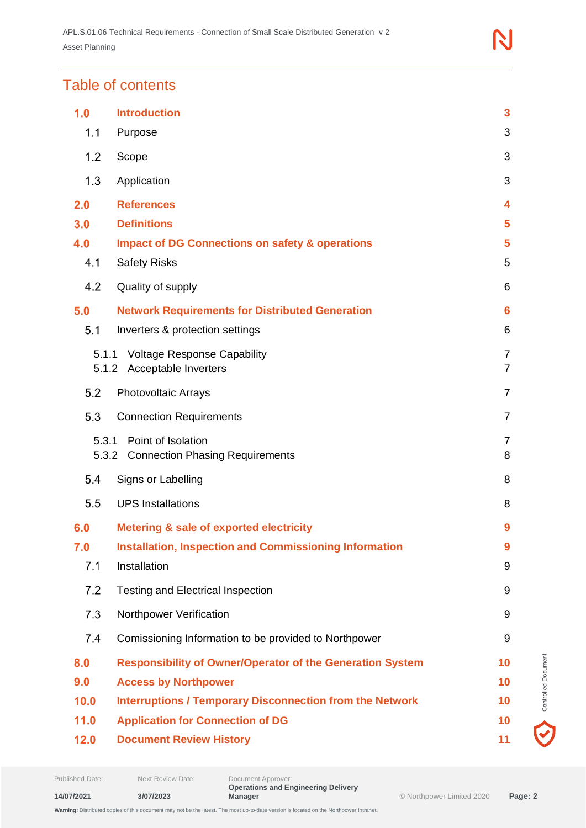# Table of contents

| 1.0   | <b>Introduction</b>                                                   | 3              |  |
|-------|-----------------------------------------------------------------------|----------------|--|
| 1.1   | Purpose                                                               | 3              |  |
| 1.2   | Scope                                                                 | 3              |  |
| 1.3   | Application                                                           | 3              |  |
| 2.0   | <b>References</b>                                                     | 4              |  |
| 3.0   | <b>Definitions</b>                                                    | 5              |  |
| 4.0   | <b>Impact of DG Connections on safety &amp; operations</b>            | 5              |  |
| 4.1   | <b>Safety Risks</b>                                                   | 5              |  |
| 4.2   | Quality of supply                                                     | 6              |  |
| 5.0   | <b>Network Requirements for Distributed Generation</b>                | 6              |  |
| 5.1   | Inverters & protection settings                                       | 6              |  |
| 5.1.1 | <b>Voltage Response Capability</b>                                    | 7              |  |
| 5.1.2 | Acceptable Inverters                                                  | $\overline{7}$ |  |
| 5.2   | <b>Photovoltaic Arrays</b>                                            | $\overline{7}$ |  |
| 5.3   | <b>Connection Requirements</b>                                        | $\overline{7}$ |  |
| 5.3.1 | Point of Isolation<br>5.3.2<br><b>Connection Phasing Requirements</b> | 7<br>8         |  |
| 5.4   | Signs or Labelling                                                    | 8              |  |
| 5.5   | <b>UPS Installations</b>                                              | 8              |  |
| 6.0   | <b>Metering &amp; sale of exported electricity</b>                    | 9              |  |
| 7.0   | <b>Installation, Inspection and Commissioning Information</b>         | 9              |  |
| 7.1   | Installation<br>9                                                     |                |  |
| 7.2   | <b>Testing and Electrical Inspection</b><br>9                         |                |  |
| 7.3   | Northpower Verification<br>9                                          |                |  |
| 7.4   | Comissioning Information to be provided to Northpower                 | 9              |  |
| 8.0   | <b>Responsibility of Owner/Operator of the Generation System</b>      | 10             |  |
| 9.0   | <b>Access by Northpower</b><br>10                                     |                |  |
| 10.0  | <b>Interruptions / Temporary Disconnection from the Network</b>       | 10             |  |
| 11.0  | <b>Application for Connection of DG</b><br>10                         |                |  |
| 12.0  | <b>Document Review History</b>                                        |                |  |

 $\blacktriangledown$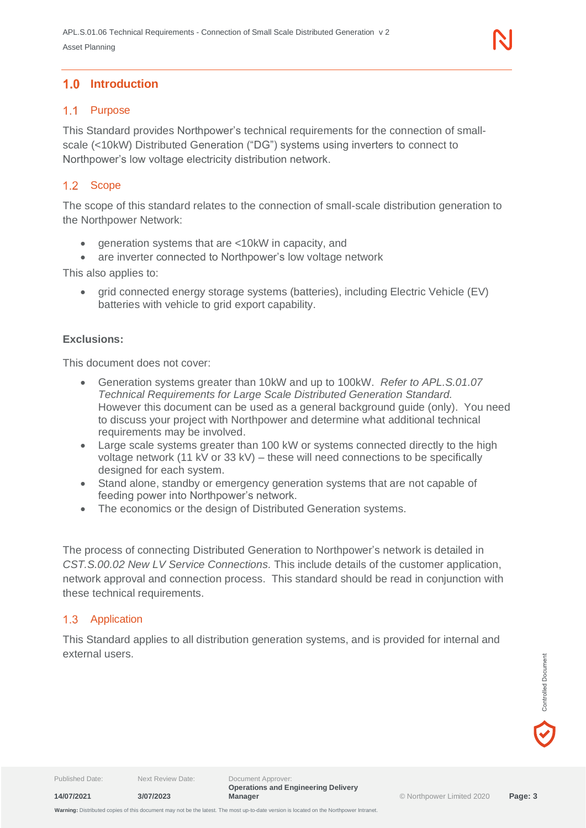#### <span id="page-2-1"></span><span id="page-2-0"></span>1.1 Purpose

This Standard provides Northpower's technical requirements for the connection of smallscale (<10kW) Distributed Generation ("DG") systems using inverters to connect to Northpower's low voltage electricity distribution network.

#### <span id="page-2-2"></span>1.2 Scope

The scope of this standard relates to the connection of small-scale distribution generation to the Northpower Network:

- generation systems that are <10kW in capacity, and
- are inverter connected to Northpower's low voltage network

This also applies to:

• grid connected energy storage systems (batteries), including Electric Vehicle (EV) batteries with vehicle to grid export capability.

#### **Exclusions:**

This document does not cover:

- Generation systems greater than 10kW and up to 100kW. *Refer to APL.S.01.07 Technical Requirements for Large Scale Distributed Generation Standard.* However this document can be used as a general background guide (only). You need to discuss your project with Northpower and determine what additional technical requirements may be involved.
- Large scale systems greater than 100 kW or systems connected directly to the high voltage network (11 kV or 33 kV) – these will need connections to be specifically designed for each system.
- Stand alone, standby or emergency generation systems that are not capable of feeding power into Northpower's network.
- The economics or the design of Distributed Generation systems.

The process of connecting Distributed Generation to Northpower's network is detailed in *CST.S.00.02 New LV Service Connections.* This include details of the customer application, network approval and connection process. This standard should be read in conjunction with these technical requirements.

#### <span id="page-2-3"></span>1.3 Application

This Standard applies to all distribution generation systems, and is provided for internal and external users.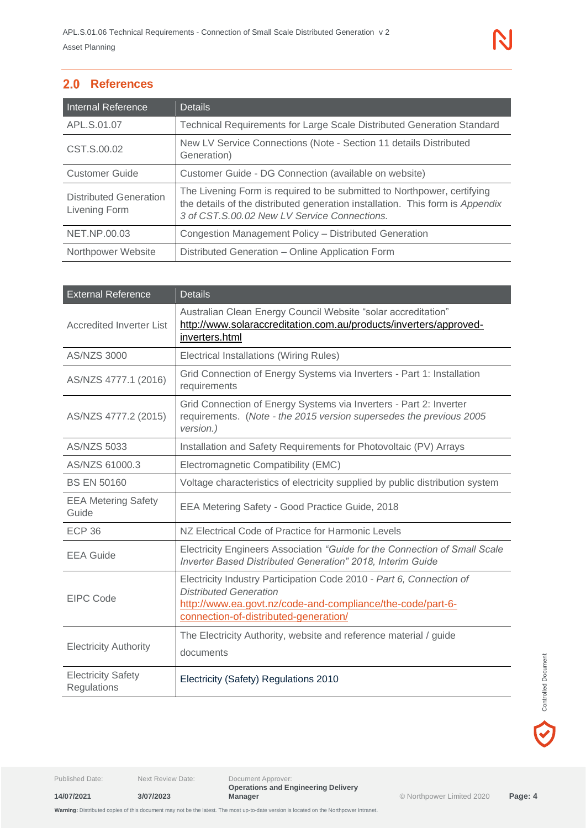## <span id="page-3-0"></span>2.0 References

| <b>Internal Reference</b>                      | <b>Details</b>                                                                                                                                                                                           |  |
|------------------------------------------------|----------------------------------------------------------------------------------------------------------------------------------------------------------------------------------------------------------|--|
| APL.S.01.07                                    | Technical Requirements for Large Scale Distributed Generation Standard                                                                                                                                   |  |
| CST.S.00.02                                    | New LV Service Connections (Note - Section 11 details Distributed<br>Generation)                                                                                                                         |  |
| <b>Customer Guide</b>                          | Customer Guide - DG Connection (available on website)                                                                                                                                                    |  |
| <b>Distributed Generation</b><br>Livening Form | The Livening Form is required to be submitted to Northpower, certifying<br>the details of the distributed generation installation. This form is Appendix<br>3 of CST.S.00.02 New LV Service Connections. |  |
| NET.NP.00.03                                   | Congestion Management Policy - Distributed Generation                                                                                                                                                    |  |
| Northpower Website                             | Distributed Generation - Online Application Form                                                                                                                                                         |  |

| <b>External Reference</b>                                                                                                                                                                                                 | <b>Details</b>                                                                                                                                         |  |
|---------------------------------------------------------------------------------------------------------------------------------------------------------------------------------------------------------------------------|--------------------------------------------------------------------------------------------------------------------------------------------------------|--|
| <b>Accredited Inverter List</b>                                                                                                                                                                                           | Australian Clean Energy Council Website "solar accreditation"<br>http://www.solaraccreditation.com.au/products/inverters/approved-<br>inverters.html   |  |
| AS/NZS 3000                                                                                                                                                                                                               | Electrical Installations (Wiring Rules)                                                                                                                |  |
| AS/NZS 4777.1 (2016)                                                                                                                                                                                                      | Grid Connection of Energy Systems via Inverters - Part 1: Installation<br>requirements                                                                 |  |
| AS/NZS 4777.2 (2015)                                                                                                                                                                                                      | Grid Connection of Energy Systems via Inverters - Part 2: Inverter<br>requirements. (Note - the 2015 version supersedes the previous 2005<br>version.) |  |
| <b>AS/NZS 5033</b>                                                                                                                                                                                                        | Installation and Safety Requirements for Photovoltaic (PV) Arrays                                                                                      |  |
| AS/NZS 61000.3                                                                                                                                                                                                            | Electromagnetic Compatibility (EMC)                                                                                                                    |  |
| <b>BS EN 50160</b>                                                                                                                                                                                                        | Voltage characteristics of electricity supplied by public distribution system                                                                          |  |
| <b>EEA Metering Safety</b><br>Guide                                                                                                                                                                                       | EEA Metering Safety - Good Practice Guide, 2018                                                                                                        |  |
| <b>ECP 36</b>                                                                                                                                                                                                             | NZ Electrical Code of Practice for Harmonic Levels                                                                                                     |  |
| <b>EEA Guide</b>                                                                                                                                                                                                          | Electricity Engineers Association "Guide for the Connection of Small Scale<br><b>Inverter Based Distributed Generation" 2018, Interim Guide</b>        |  |
| Electricity Industry Participation Code 2010 - Part 6, Connection of<br><b>Distributed Generation</b><br>EIPC Code<br>http://www.ea.govt.nz/code-and-compliance/the-code/part-6-<br>connection-of-distributed-generation/ |                                                                                                                                                        |  |
| <b>Electricity Authority</b>                                                                                                                                                                                              | The Electricity Authority, website and reference material / guide<br>documents                                                                         |  |
| <b>Electricity Safety</b><br>Regulations                                                                                                                                                                                  | Electricity (Safety) Regulations 2010                                                                                                                  |  |

**14/07/2021 3/07/2023**

Published Date: Next Review Date: Document Approver: **Operations and Engineering Delivery Manager** © Northpower Limited 2020 **Page: 4**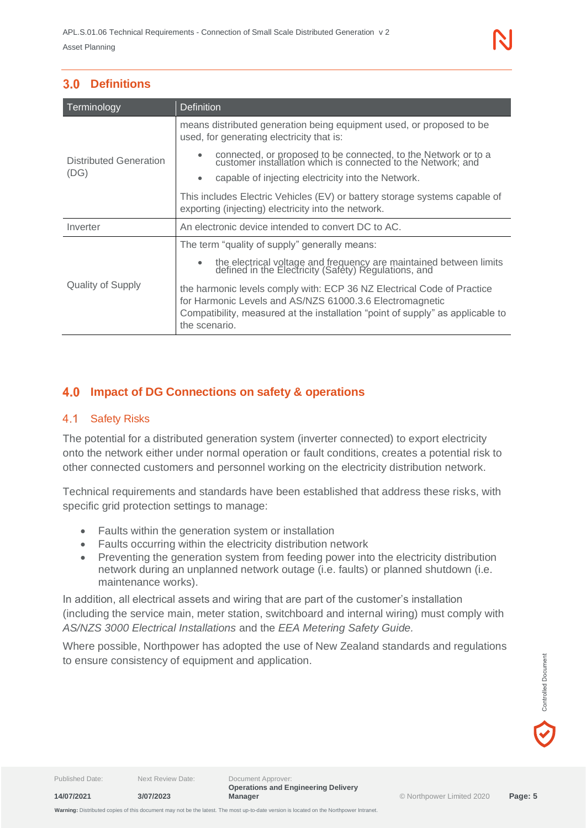<span id="page-4-0"></span>

| Terminology                    | <b>Definition</b>                                                                                                                                                                                                                     |  |  |
|--------------------------------|---------------------------------------------------------------------------------------------------------------------------------------------------------------------------------------------------------------------------------------|--|--|
| Distributed Generation<br>(DG) | means distributed generation being equipment used, or proposed to be<br>used, for generating electricity that is:                                                                                                                     |  |  |
|                                | connected, or proposed to be connected, to the Network or to a customer installation which is connected to the Network; and                                                                                                           |  |  |
|                                | capable of injecting electricity into the Network.                                                                                                                                                                                    |  |  |
|                                | This includes Electric Vehicles (EV) or battery storage systems capable of<br>exporting (injecting) electricity into the network.                                                                                                     |  |  |
| Inverter                       | An electronic device intended to convert DC to AC.                                                                                                                                                                                    |  |  |
|                                | The term "quality of supply" generally means:                                                                                                                                                                                         |  |  |
|                                | the electrical voltage and frequency are maintained between limits<br>defined in the Electricity (Safety) Regulations, and                                                                                                            |  |  |
| Quality of Supply              | the harmonic levels comply with: ECP 36 NZ Electrical Code of Practice<br>for Harmonic Levels and AS/NZS 61000.3.6 Electromagnetic<br>Compatibility, measured at the installation "point of supply" as applicable to<br>the scenario. |  |  |

## <span id="page-4-1"></span>**Impact of DG Connections on safety & operations**

#### <span id="page-4-2"></span> $4.1$ Safety Risks

The potential for a distributed generation system (inverter connected) to export electricity onto the network either under normal operation or fault conditions, creates a potential risk to other connected customers and personnel working on the electricity distribution network.

Technical requirements and standards have been established that address these risks, with specific grid protection settings to manage:

- Faults within the generation system or installation
- Faults occurring within the electricity distribution network
- Preventing the generation system from feeding power into the electricity distribution network during an unplanned network outage (i.e. faults) or planned shutdown (i.e. maintenance works).

In addition, all electrical assets and wiring that are part of the customer's installation (including the service main, meter station, switchboard and internal wiring) must comply with *AS/NZS 3000 Electrical Installations* and the *EEA Metering Safety Guide.*

Where possible, Northpower has adopted the use of New Zealand standards and regulations to ensure consistency of equipment and application.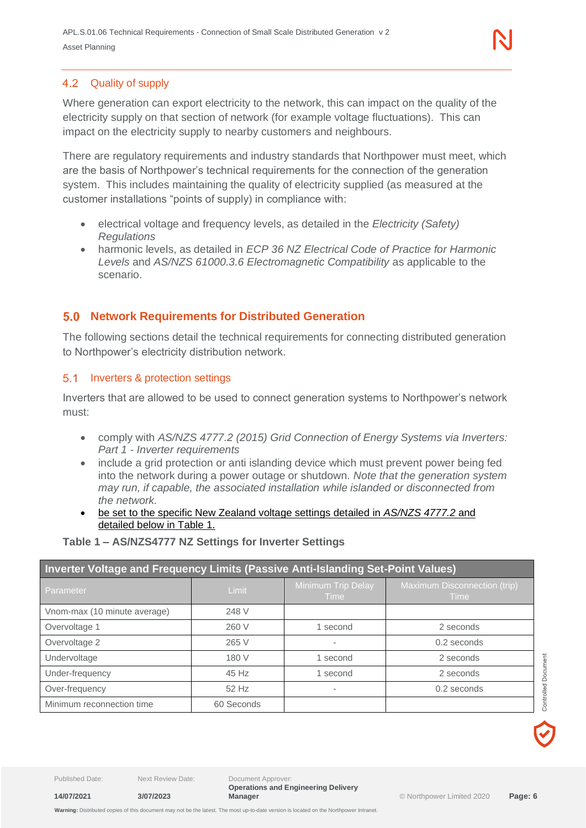#### <span id="page-5-0"></span>4.2 Quality of supply

Where generation can export electricity to the network, this can impact on the quality of the electricity supply on that section of network (for example voltage fluctuations). This can impact on the electricity supply to nearby customers and neighbours.

There are regulatory requirements and industry standards that Northpower must meet, which are the basis of Northpower's technical requirements for the connection of the generation system. This includes maintaining the quality of electricity supplied (as measured at the customer installations "points of supply) in compliance with:

- electrical voltage and frequency levels, as detailed in the *Electricity (Safety) Regulations*
- harmonic levels, as detailed in *ECP 36 NZ Electrical Code of Practice for Harmonic Levels* and *AS/NZS 61000.3.6 Electromagnetic Compatibility* as applicable to the scenario.

#### <span id="page-5-1"></span> $5.0$ **Network Requirements for Distributed Generation**

The following sections detail the technical requirements for connecting distributed generation to Northpower's electricity distribution network.

#### <span id="page-5-2"></span>5.1 Inverters & protection settings

Inverters that are allowed to be used to connect generation systems to Northpower's network must:

- comply with *AS/NZS 4777.2 (2015) Grid Connection of Energy Systems via Inverters: Part 1 - Inverter requirements*
- include a grid protection or anti islanding device which must prevent power being fed into the network during a power outage or shutdown. *Note that the generation system may run, if capable, the associated installation while islanded or disconnected from the network.*
- be set to the specific New Zealand voltage settings detailed in *AS/NZS 4777.2* and detailed below in Table 1.

#### **Table 1 – AS/NZS4777 NZ Settings for Inverter Settings**

| Inverter Voltage and Frequency Limits (Passive Anti-Islanding Set-Point Values) |              |                            |                                             |
|---------------------------------------------------------------------------------|--------------|----------------------------|---------------------------------------------|
| Parameter                                                                       | <b>Limit</b> | Minimum Trip Delay<br>Time | Maximum Disconnection (trip)<br><b>Time</b> |
| Vnom-max (10 minute average)                                                    | 248 V        |                            |                                             |
| Overvoltage 1                                                                   | 260 V        | 1 second                   | 2 seconds                                   |
| Overvoltage 2                                                                   | 265 V        | -                          | 0.2 seconds                                 |
| Undervoltage                                                                    | 180 V        | 1 second                   | 2 seconds                                   |
| Under-frequency                                                                 | 45 Hz        | 1 second                   | 2 seconds                                   |
| Over-frequency                                                                  | 52 Hz        | -                          | 0.2 seconds                                 |
| Minimum reconnection time                                                       | 60 Seconds   |                            |                                             |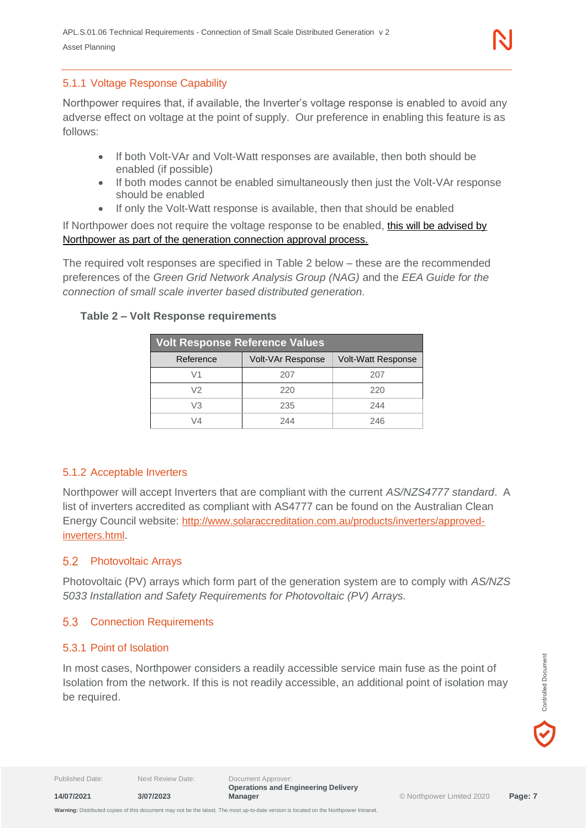#### <span id="page-6-0"></span>5.1.1 Voltage Response Capability

Northpower requires that, if available, the Inverter's voltage response is enabled to avoid any adverse effect on voltage at the point of supply. Our preference in enabling this feature is as follows:

- If both Volt-VAr and Volt-Watt responses are available, then both should be enabled (if possible)
- If both modes cannot be enabled simultaneously then just the Volt-VAr response should be enabled
- If only the Volt-Watt response is available, then that should be enabled

If Northpower does not require the voltage response to be enabled, this will be advised by Northpower as part of the generation connection approval process.

The required volt responses are specified in Table 2 below – these are the recommended preferences of the *Green Grid Network Analysis Group (NAG)* and the *EEA Guide for the connection of small scale inverter based distributed generation.*

#### **Table 2 – Volt Response requirements**

| <b>Volt Response Reference Values</b> |                   |                           |  |
|---------------------------------------|-------------------|---------------------------|--|
| Reference                             | Volt-VAr Response | <b>Volt-Watt Response</b> |  |
| V1                                    | 207               | 207                       |  |
| V2                                    | 220               | 220                       |  |
| VЗ                                    | 235               | 244                       |  |
| V4                                    | 244               | 246                       |  |

#### <span id="page-6-1"></span>5.1.2 Acceptable Inverters

Northpower will accept Inverters that are compliant with the current *AS/NZS4777 standard*. A list of inverters accredited as compliant with AS4777 can be found on the Australian Clean Energy Council website: [http://www.solaraccreditation.com.au/products/inverters/approved](http://www.solaraccreditation.com.au/products/inverters/approved-inverters.html)[inverters.html](http://www.solaraccreditation.com.au/products/inverters/approved-inverters.html).

#### <span id="page-6-2"></span>5.2 Photovoltaic Arrays

Photovoltaic (PV) arrays which form part of the generation system are to comply with *AS/NZS 5033 Installation and Safety Requirements for Photovoltaic (PV) Arrays.*

#### <span id="page-6-3"></span>5.3 Connection Requirements

#### <span id="page-6-4"></span>5.3.1 Point of Isolation

**14/07/2021 3/07/2023**

In most cases, Northpower considers a readily accessible service main fuse as the point of Isolation from the network. If this is not readily accessible, an additional point of isolation may be required.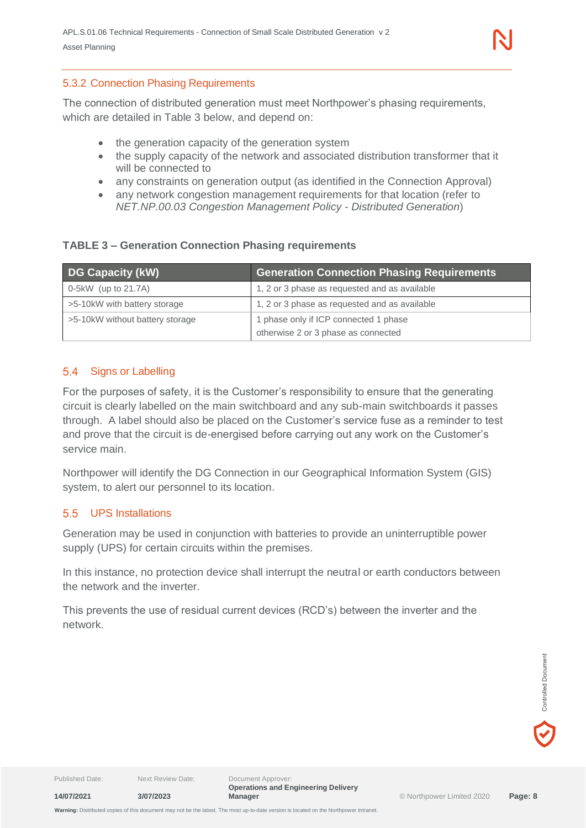#### <span id="page-7-0"></span>5.3.2 Connection Phasing Requirements

The connection of distributed generation must meet Northpower's phasing requirements, which are detailed in Table 3 below, and depend on:

- the generation capacity of the generation system
- the supply capacity of the network and associated distribution transformer that it will be connected to
- any constraints on generation output (as identified in the Connection Approval)
- any network congestion management requirements for that location (refer to *NET.NP.00.03 Congestion Management Policy - Distributed Generation*)

#### **TABLE 3 – Generation Connection Phasing requirements**

| DG Capacity (kW)                | <b>Generation Connection Phasing Requirements</b>                            |
|---------------------------------|------------------------------------------------------------------------------|
| $0-5kW$ (up to 21.7A)           | 1, 2 or 3 phase as requested and as available                                |
| >5-10kW with battery storage    | 1, 2 or 3 phase as requested and as available                                |
| >5-10kW without battery storage | 1 phase only if ICP connected 1 phase<br>otherwise 2 or 3 phase as connected |

#### <span id="page-7-1"></span>Signs or Labelling

For the purposes of safety, it is the Customer's responsibility to ensure that the generating circuit is clearly labelled on the main switchboard and any sub-main switchboards it passes through. A label should also be placed on the Customer's service fuse as a reminder to test and prove that the circuit is de-energised before carrying out any work on the Customer's service main.

Northpower will identify the DG Connection in our Geographical Information System (GIS) system, to alert our personnel to its location.

#### <span id="page-7-2"></span>UPS Installations

Generation may be used in conjunction with batteries to provide an uninterruptible power supply (UPS) for certain circuits within the premises.

In this instance, no protection device shall interrupt the neutral or earth conductors between the network and the inverter.

This prevents the use of residual current devices (RCD's) between the inverter and the network.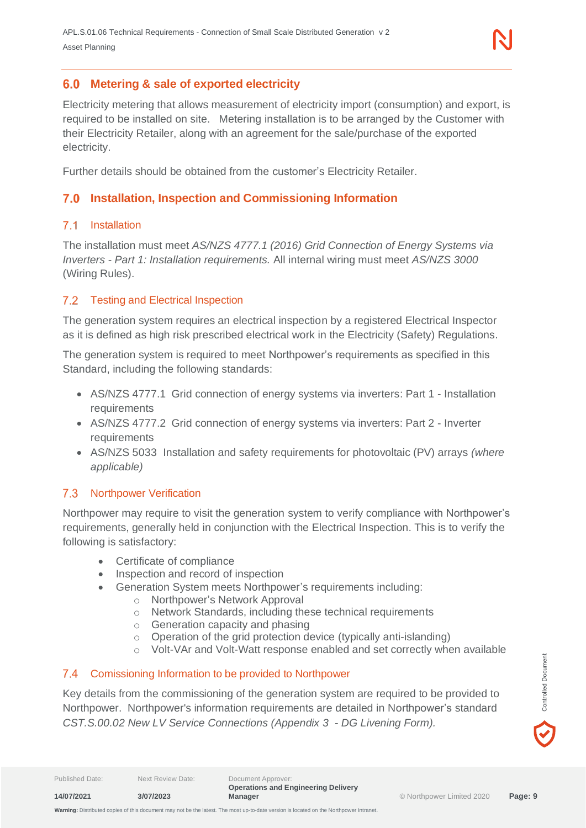#### <span id="page-8-0"></span>**Metering & sale of exported electricity**

Electricity metering that allows measurement of electricity import (consumption) and export, is required to be installed on site. Metering installation is to be arranged by the Customer with their Electricity Retailer, along with an agreement for the sale/purchase of the exported electricity.

Further details should be obtained from the customer's Electricity Retailer.

## <span id="page-8-1"></span>**Installation, Inspection and Commissioning Information**

#### <span id="page-8-2"></span>7.1 Installation

The installation must meet *AS/NZS 4777.1 (2016) Grid Connection of Energy Systems via Inverters - Part 1: Installation requirements.* All internal wiring must meet *AS/NZS 3000* (Wiring Rules).

#### <span id="page-8-3"></span>7.2 Testing and Electrical Inspection

The generation system requires an electrical inspection by a registered Electrical Inspector as it is defined as high risk prescribed electrical work in the Electricity (Safety) Regulations.

The generation system is required to meet Northpower's requirements as specified in this Standard, including the following standards:

- AS/NZS 4777.1 Grid connection of energy systems via inverters: Part 1 Installation requirements
- AS/NZS 4777.2 Grid connection of energy systems via inverters: Part 2 Inverter requirements
- AS/NZS 5033 Installation and safety requirements for photovoltaic (PV) arrays *(where applicable)*

#### <span id="page-8-4"></span>7.3 Northpower Verification

Northpower may require to visit the generation system to verify compliance with Northpower's requirements, generally held in conjunction with the Electrical Inspection. This is to verify the following is satisfactory:

- Certificate of compliance
- Inspection and record of inspection
- Generation System meets Northpower's requirements including:
	- o Northpower's Network Approval
	- o Network Standards, including these technical requirements
	- o Generation capacity and phasing
	- o Operation of the grid protection device (typically anti-islanding)
	- o Volt-VAr and Volt-Watt response enabled and set correctly when available

#### <span id="page-8-5"></span>Comissioning Information to be provided to Northpower

Key details from the commissioning of the generation system are required to be provided to Northpower. Northpower's information requirements are detailed in Northpower's standard *CST.S.00.02 New LV Service Connections (Appendix 3 - DG Livening Form).* 

Controlled Document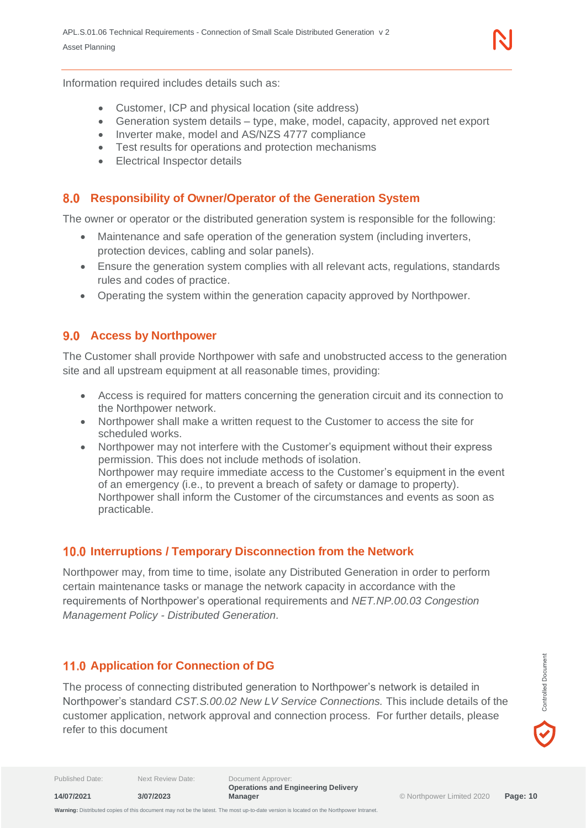Information required includes details such as:

- Customer, ICP and physical location (site address)
- Generation system details type, make, model, capacity, approved net export
- Inverter make, model and AS/NZS 4777 compliance
- Test results for operations and protection mechanisms
- **Electrical Inspector details**

#### <span id="page-9-0"></span>**Responsibility of Owner/Operator of the Generation System**

The owner or operator or the distributed generation system is responsible for the following:

- Maintenance and safe operation of the generation system (including inverters, protection devices, cabling and solar panels).
- Ensure the generation system complies with all relevant acts, regulations, standards rules and codes of practice.
- Operating the system within the generation capacity approved by Northpower.

#### <span id="page-9-1"></span>**9.0 Access by Northpower**

The Customer shall provide Northpower with safe and unobstructed access to the generation site and all upstream equipment at all reasonable times, providing:

- Access is required for matters concerning the generation circuit and its connection to the Northpower network.
- Northpower shall make a written request to the Customer to access the site for scheduled works.
- Northpower may not interfere with the Customer's equipment without their express permission. This does not include methods of isolation. Northpower may require immediate access to the Customer's equipment in the event of an emergency (i.e., to prevent a breach of safety or damage to property). Northpower shall inform the Customer of the circumstances and events as soon as practicable.

#### <span id="page-9-2"></span>**Interruptions / Temporary Disconnection from the Network**

Northpower may, from time to time, isolate any Distributed Generation in order to perform certain maintenance tasks or manage the network capacity in accordance with the requirements of Northpower's operational requirements and *NET.NP.00.03 Congestion Management Policy - Distributed Generation.*

#### <span id="page-9-3"></span>**11.0 Application for Connection of DG**

The process of connecting distributed generation to Northpower's network is detailed in Northpower's standard *CST.S.00.02 New LV Service Connections.* This include details of the customer application, network approval and connection process. For further details, please refer to this document